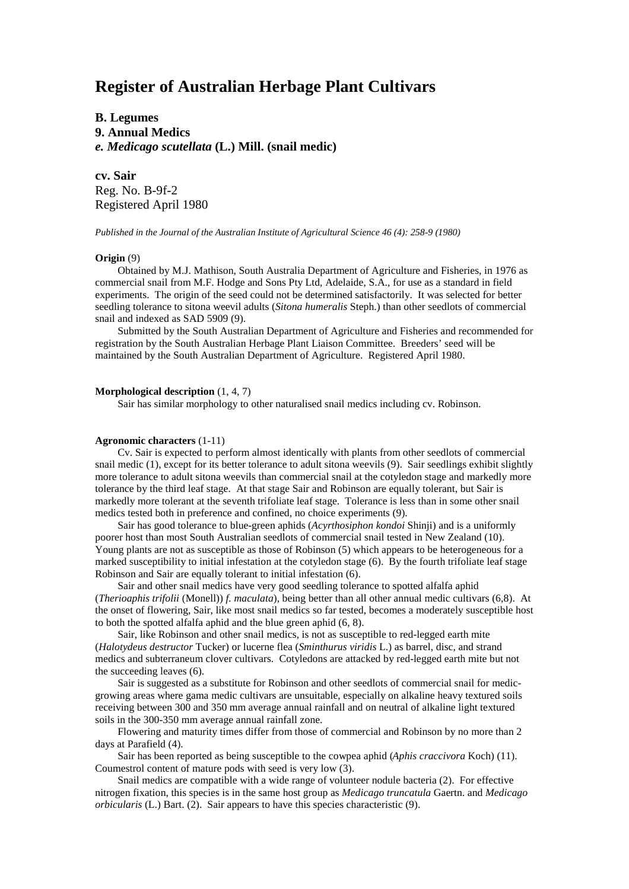# **Register of Australian Herbage Plant Cultivars**

**B. Legumes 9. Annual Medics** *e. Medicago scutellata* **(L.) Mill. (snail medic)**

**cv. Sair** Reg. No. B-9f-2 Registered April 1980

*Published in the Journal of the Australian Institute of Agricultural Science 46 (4): 258-9 (1980)*

### **Origin** (9)

Obtained by M.J. Mathison, South Australia Department of Agriculture and Fisheries, in 1976 as commercial snail from M.F. Hodge and Sons Pty Ltd, Adelaide, S.A., for use as a standard in field experiments. The origin of the seed could not be determined satisfactorily. It was selected for better seedling tolerance to sitona weevil adults (*Sitona humeralis* Steph.) than other seedlots of commercial snail and indexed as SAD 5909 (9).

Submitted by the South Australian Department of Agriculture and Fisheries and recommended for registration by the South Australian Herbage Plant Liaison Committee. Breeders' seed will be maintained by the South Australian Department of Agriculture. Registered April 1980.

## **Morphological description** (1, 4, 7)

Sair has similar morphology to other naturalised snail medics including cv. Robinson.

### **Agronomic characters** (1-11)

Cv. Sair is expected to perform almost identically with plants from other seedlots of commercial snail medic (1), except for its better tolerance to adult sitona weevils (9). Sair seedlings exhibit slightly more tolerance to adult sitona weevils than commercial snail at the cotyledon stage and markedly more tolerance by the third leaf stage. At that stage Sair and Robinson are equally tolerant, but Sair is markedly more tolerant at the seventh trifoliate leaf stage. Tolerance is less than in some other snail medics tested both in preference and confined, no choice experiments (9).

Sair has good tolerance to blue-green aphids (*Acyrthosiphon kondoi* Shinji) and is a uniformly poorer host than most South Australian seedlots of commercial snail tested in New Zealand (10). Young plants are not as susceptible as those of Robinson (5) which appears to be heterogeneous for a marked susceptibility to initial infestation at the cotyledon stage (6). By the fourth trifoliate leaf stage Robinson and Sair are equally tolerant to initial infestation (6).

Sair and other snail medics have very good seedling tolerance to spotted alfalfa aphid (*Therioaphis trifolii* (Monell)) *f. maculata*), being better than all other annual medic cultivars (6,8). At the onset of flowering, Sair, like most snail medics so far tested, becomes a moderately susceptible host to both the spotted alfalfa aphid and the blue green aphid (6, 8).

Sair, like Robinson and other snail medics, is not as susceptible to red-legged earth mite (*Halotydeus destructor* Tucker) or lucerne flea (*Sminthurus viridis* L.) as barrel, disc, and strand medics and subterraneum clover cultivars. Cotyledons are attacked by red-legged earth mite but not the succeeding leaves (6).

Sair is suggested as a substitute for Robinson and other seedlots of commercial snail for medicgrowing areas where gama medic cultivars are unsuitable, especially on alkaline heavy textured soils receiving between 300 and 350 mm average annual rainfall and on neutral of alkaline light textured soils in the 300-350 mm average annual rainfall zone.

Flowering and maturity times differ from those of commercial and Robinson by no more than 2 days at Parafield (4).

Sair has been reported as being susceptible to the cowpea aphid (*Aphis craccivora* Koch) (11). Coumestrol content of mature pods with seed is very low (3).

Snail medics are compatible with a wide range of volunteer nodule bacteria (2). For effective nitrogen fixation, this species is in the same host group as *Medicago truncatula* Gaertn. and *Medicago orbicularis* (L.) Bart. (2). Sair appears to have this species characteristic (9).